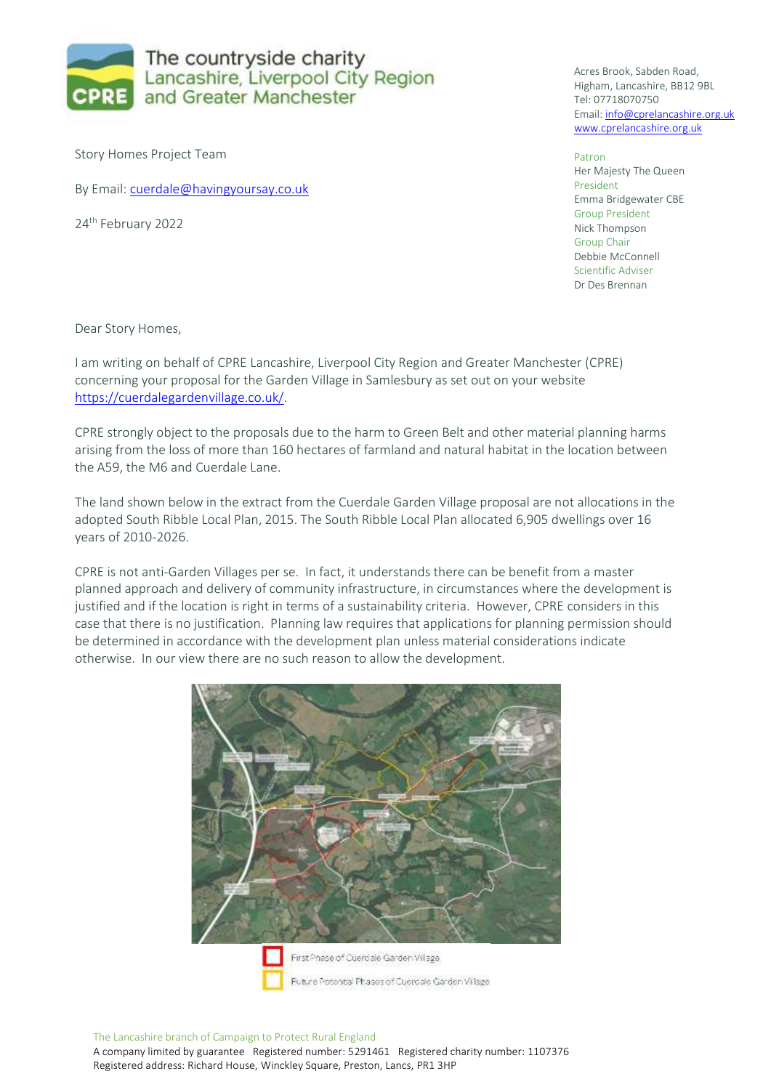

Story Homes Project Team

By Email: [cuerdale@havingyoursay.co.uk](mailto:cuerdale@havingyoursay.co.uk)

24<sup>th</sup> February 2022

Acres Brook, Sabden Road, Higham, Lancashire, BB12 9BL Tel: 07718070750 Email: [info@cprelancashire.org.uk](mailto:info@cprelancashire.org.uk) [www.cprelancashire.org.uk](http://www.cprelancashire.org.uk/)

Patron Her Majesty The Queen President Emma Bridgewater CBE Group President Nick Thompson Group Chair Debbie McConnell Scientific Adviser Dr Des Brennan

Dear Story Homes,

I am writing on behalf of CPRE Lancashire, Liverpool City Region and Greater Manchester (CPRE) concerning your proposal for the Garden Village in Samlesbury as set out on your website [https://cuerdalegardenvillage.co.uk/.](https://cuerdalegardenvillage.co.uk/)

CPRE strongly object to the proposals due to the harm to Green Belt and other material planning harms arising from the loss of more than 160 hectares of farmland and natural habitat in the location between the A59, the M6 and Cuerdale Lane.

The land shown below in the extract from the Cuerdale Garden Village proposal are not allocations in the adopted South Ribble Local Plan, 2015. The South Ribble Local Plan allocated 6,905 dwellings over 16 years of 2010-2026.

CPRE is not anti-Garden Villages per se. In fact, it understands there can be benefit from a master planned approach and delivery of community infrastructure, in circumstances where the development is justified and if the location is right in terms of a sustainability criteria. However, CPRE considers in this case that there is no justification. Planning law requires that applications for planning permission should be determined in accordance with the development plan unless material considerations indicate otherwise. In our view there are no such reason to allow the development.

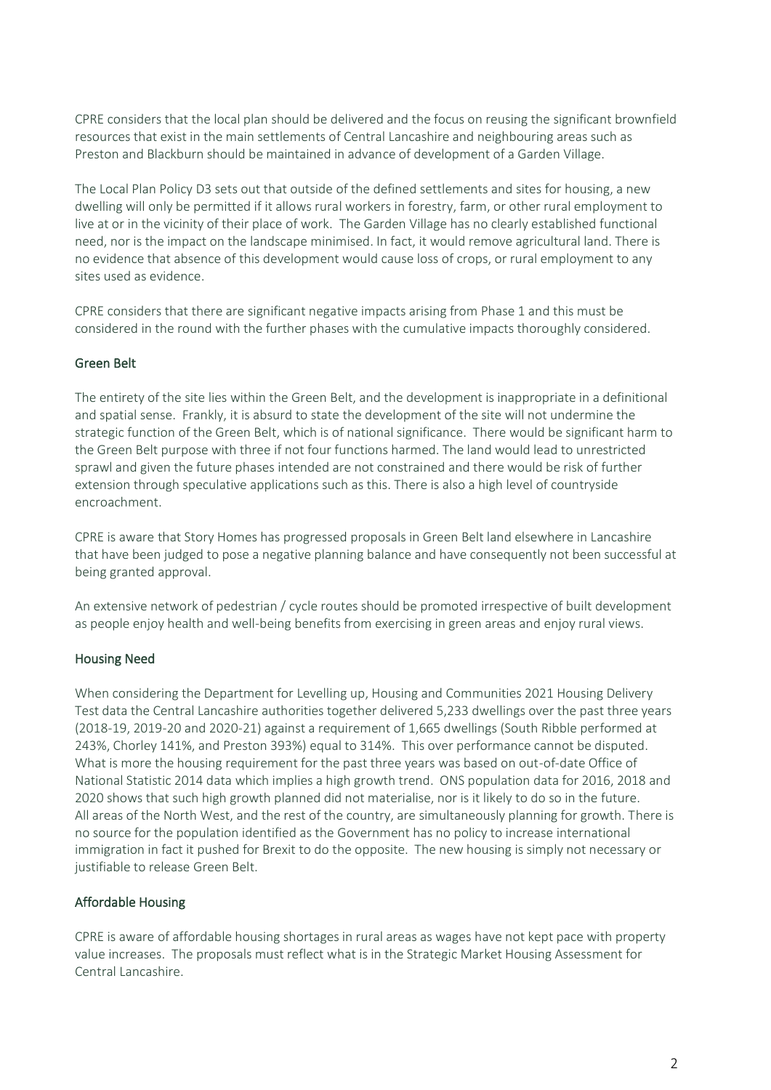CPRE considers that the local plan should be delivered and the focus on reusing the significant brownfield resources that exist in the main settlements of Central Lancashire and neighbouring areas such as Preston and Blackburn should be maintained in advance of development of a Garden Village.

The Local Plan Policy D3 sets out that outside of the defined settlements and sites for housing, a new dwelling will only be permitted if it allows rural workers in forestry, farm, or other rural employment to live at or in the vicinity of their place of work. The Garden Village has no clearly established functional need, nor is the impact on the landscape minimised. In fact, it would remove agricultural land. There is no evidence that absence of this development would cause loss of crops, or rural employment to any sites used as evidence.

CPRE considers that there are significant negative impacts arising from Phase 1 and this must be considered in the round with the further phases with the cumulative impacts thoroughly considered.

### Green Belt

The entirety of the site lies within the Green Belt, and the development is inappropriate in a definitional and spatial sense. Frankly, it is absurd to state the development of the site will not undermine the strategic function of the Green Belt, which is of national significance. There would be significant harm to the Green Belt purpose with three if not four functions harmed. The land would lead to unrestricted sprawl and given the future phases intended are not constrained and there would be risk of further extension through speculative applications such as this. There is also a high level of countryside encroachment.

CPRE is aware that Story Homes has progressed proposals in Green Belt land elsewhere in Lancashire that have been judged to pose a negative planning balance and have consequently not been successful at being granted approval.

An extensive network of pedestrian / cycle routes should be promoted irrespective of built development as people enjoy health and well-being benefits from exercising in green areas and enjoy rural views.

### Housing Need

When considering the Department for Levelling up, Housing and Communities 2021 Housing Delivery Test data the Central Lancashire authorities together delivered 5,233 dwellings over the past three years (2018-19, 2019-20 and 2020-21) against a requirement of 1,665 dwellings (South Ribble performed at 243%, Chorley 141%, and Preston 393%) equal to 314%. This over performance cannot be disputed. What is more the housing requirement for the past three years was based on out-of-date Office of National Statistic 2014 data which implies a high growth trend. ONS population data for 2016, 2018 and 2020 shows that such high growth planned did not materialise, nor is it likely to do so in the future. All areas of the North West, and the rest of the country, are simultaneously planning for growth. There is no source for the population identified as the Government has no policy to increase international immigration in fact it pushed for Brexit to do the opposite. The new housing is simply not necessary or justifiable to release Green Belt.

### Affordable Housing

CPRE is aware of affordable housing shortages in rural areas as wages have not kept pace with property value increases. The proposals must reflect what is in the Strategic Market Housing Assessment for Central Lancashire.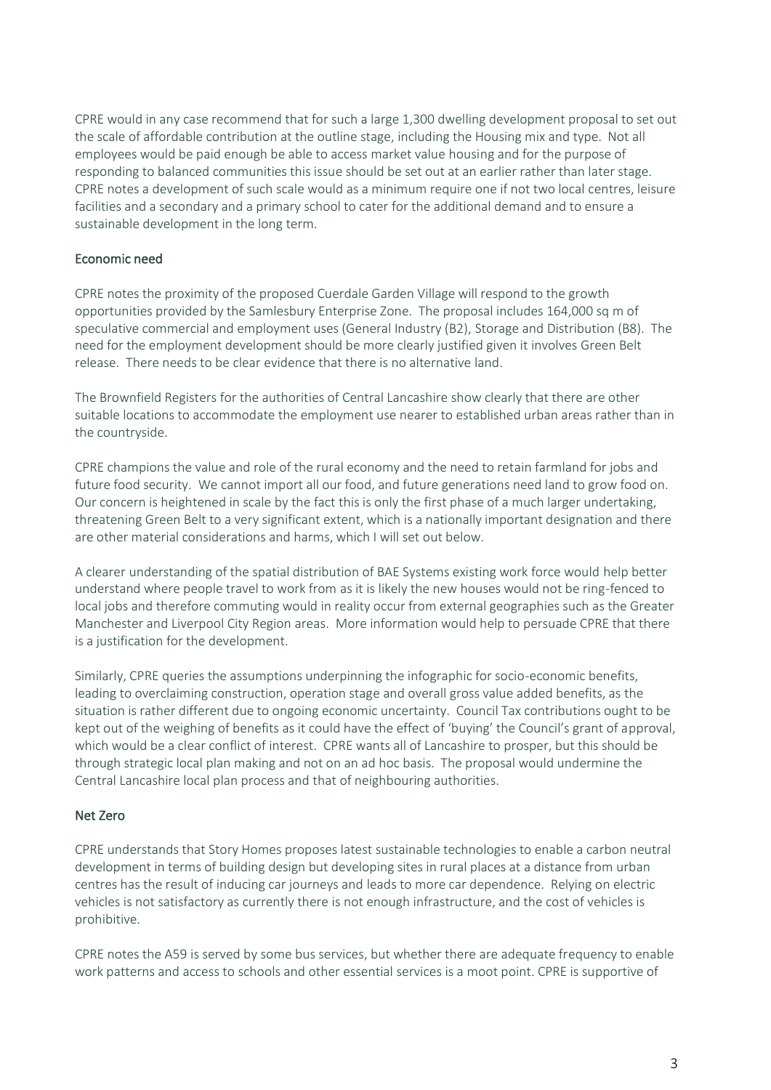CPRE would in any case recommend that for such a large 1,300 dwelling development proposal to set out the scale of affordable contribution at the outline stage, including the Housing mix and type. Not all employees would be paid enough be able to access market value housing and for the purpose of responding to balanced communities this issue should be set out at an earlier rather than later stage. CPRE notes a development of such scale would as a minimum require one if not two local centres, leisure facilities and a secondary and a primary school to cater for the additional demand and to ensure a sustainable development in the long term.

### Economic need

CPRE notes the proximity of the proposed Cuerdale Garden Village will respond to the growth opportunities provided by the Samlesbury Enterprise Zone. The proposal includes 164,000 sq m of speculative commercial and employment uses (General Industry (B2), Storage and Distribution (B8). The need for the employment development should be more clearly justified given it involves Green Belt release. There needs to be clear evidence that there is no alternative land.

The Brownfield Registers for the authorities of Central Lancashire show clearly that there are other suitable locations to accommodate the employment use nearer to established urban areas rather than in the countryside.

CPRE champions the value and role of the rural economy and the need to retain farmland for jobs and future food security. We cannot import all our food, and future generations need land to grow food on. Our concern is heightened in scale by the fact this is only the first phase of a much larger undertaking, threatening Green Belt to a very significant extent, which is a nationally important designation and there are other material considerations and harms, which I will set out below.

A clearer understanding of the spatial distribution of BAE Systems existing work force would help better understand where people travel to work from as it is likely the new houses would not be ring-fenced to local jobs and therefore commuting would in reality occur from external geographies such as the Greater Manchester and Liverpool City Region areas. More information would help to persuade CPRE that there is a justification for the development.

Similarly, CPRE queries the assumptions underpinning the infographic for socio-economic benefits, leading to overclaiming construction, operation stage and overall gross value added benefits, as the situation is rather different due to ongoing economic uncertainty. Council Tax contributions ought to be kept out of the weighing of benefits as it could have the effect of 'buying' the Council's grant of approval, which would be a clear conflict of interest. CPRE wants all of Lancashire to prosper, but this should be through strategic local plan making and not on an ad hoc basis. The proposal would undermine the Central Lancashire local plan process and that of neighbouring authorities.

### Net Zero

CPRE understands that Story Homes proposes latest sustainable technologies to enable a carbon neutral development in terms of building design but developing sites in rural places at a distance from urban centres has the result of inducing car journeys and leads to more car dependence. Relying on electric vehicles is not satisfactory as currently there is not enough infrastructure, and the cost of vehicles is prohibitive.

CPRE notes the A59 is served by some bus services, but whether there are adequate frequency to enable work patterns and access to schools and other essential services is a moot point. CPRE is supportive of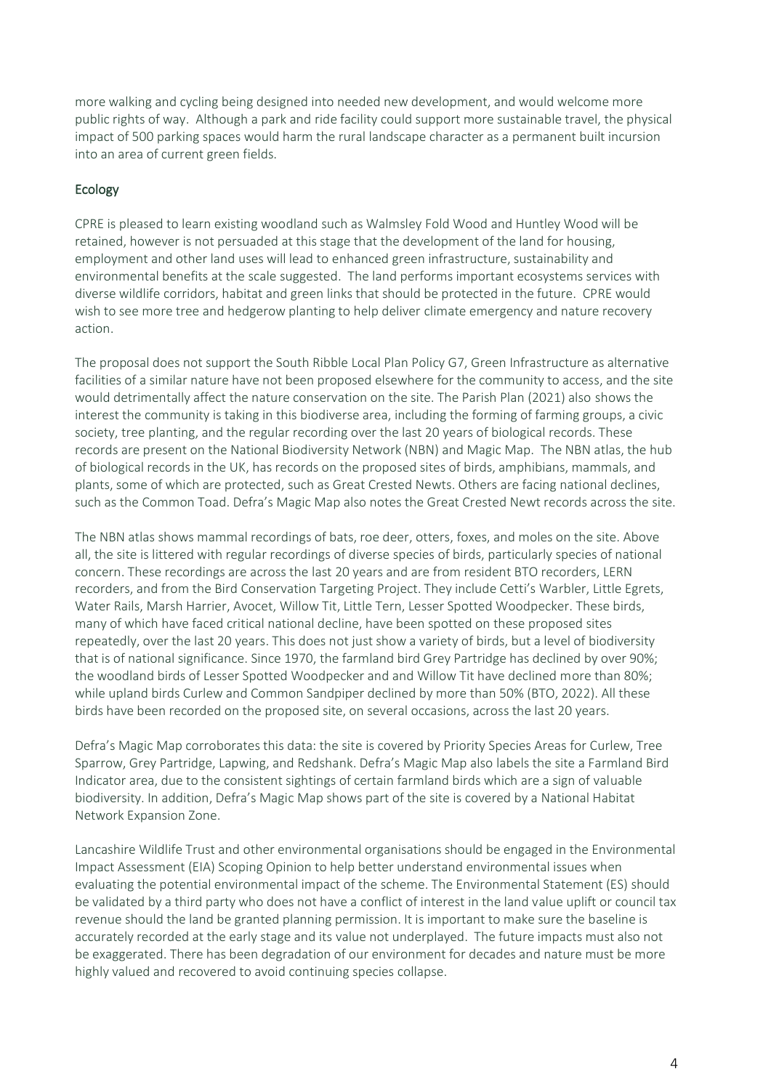more walking and cycling being designed into needed new development, and would welcome more public rights of way. Although a park and ride facility could support more sustainable travel, the physical impact of 500 parking spaces would harm the rural landscape character as a permanent built incursion into an area of current green fields.

# Ecology

CPRE is pleased to learn existing woodland such as Walmsley Fold Wood and Huntley Wood will be retained, however is not persuaded at this stage that the development of the land for housing, employment and other land uses will lead to enhanced green infrastructure, sustainability and environmental benefits at the scale suggested. The land performs important ecosystems services with diverse wildlife corridors, habitat and green links that should be protected in the future. CPRE would wish to see more tree and hedgerow planting to help deliver climate emergency and nature recovery action.

The proposal does not support the South Ribble Local Plan Policy G7, Green Infrastructure as alternative facilities of a similar nature have not been proposed elsewhere for the community to access, and the site would detrimentally affect the nature conservation on the site. The Parish Plan (2021) also shows the interest the community is taking in this biodiverse area, including the forming of farming groups, a civic society, tree planting, and the regular recording over the last 20 years of biological records. These records are present on the National Biodiversity Network (NBN) and Magic Map. The NBN atlas, the hub of biological records in the UK, has records on the proposed sites of birds, amphibians, mammals, and plants, some of which are protected, such as Great Crested Newts. Others are facing national declines, such as the Common Toad. Defra's Magic Map also notes the Great Crested Newt records across the site.

The NBN atlas shows mammal recordings of bats, roe deer, otters, foxes, and moles on the site. Above all, the site is littered with regular recordings of diverse species of birds, particularly species of national concern. These recordings are across the last 20 years and are from resident BTO recorders, LERN recorders, and from the Bird Conservation Targeting Project. They include Cetti's Warbler, Little Egrets, Water Rails, Marsh Harrier, Avocet, Willow Tit, Little Tern, Lesser Spotted Woodpecker. These birds, many of which have faced critical national decline, have been spotted on these proposed sites repeatedly, over the last 20 years. This does not just show a variety of birds, but a level of biodiversity that is of national significance. Since 1970, the farmland bird Grey Partridge has declined by over 90%; the woodland birds of Lesser Spotted Woodpecker and and Willow Tit have declined more than 80%; while upland birds Curlew and Common Sandpiper declined by more than 50% (BTO, 2022). All these birds have been recorded on the proposed site, on several occasions, across the last 20 years.

Defra's Magic Map corroborates this data: the site is covered by Priority Species Areas for Curlew, Tree Sparrow, Grey Partridge, Lapwing, and Redshank. Defra's Magic Map also labels the site a Farmland Bird Indicator area, due to the consistent sightings of certain farmland birds which are a sign of valuable biodiversity. In addition, Defra's Magic Map shows part of the site is covered by a National Habitat Network Expansion Zone.

Lancashire Wildlife Trust and other environmental organisations should be engaged in the Environmental Impact Assessment (EIA) Scoping Opinion to help better understand environmental issues when evaluating the potential environmental impact of the scheme. The Environmental Statement (ES) should be validated by a third party who does not have a conflict of interest in the land value uplift or council tax revenue should the land be granted planning permission. It is important to make sure the baseline is accurately recorded at the early stage and its value not underplayed. The future impacts must also not be exaggerated. There has been degradation of our environment for decades and nature must be more highly valued and recovered to avoid continuing species collapse.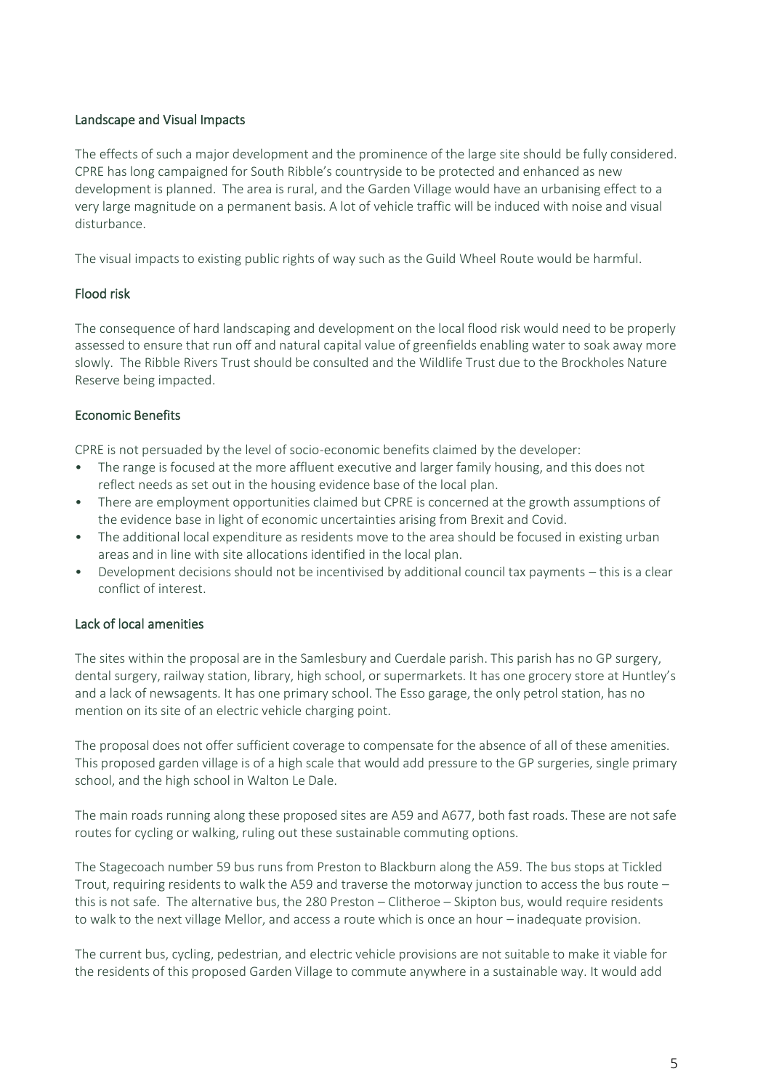### Landscape and Visual Impacts

The effects of such a major development and the prominence of the large site should be fully considered. CPRE has long campaigned for South Ribble's countryside to be protected and enhanced as new development is planned. The area is rural, and the Garden Village would have an urbanising effect to a very large magnitude on a permanent basis. A lot of vehicle traffic will be induced with noise and visual disturbance.

The visual impacts to existing public rights of way such as the Guild Wheel Route would be harmful.

### Flood risk

The consequence of hard landscaping and development on the local flood risk would need to be properly assessed to ensure that run off and natural capital value of greenfields enabling water to soak away more slowly. The Ribble Rivers Trust should be consulted and the Wildlife Trust due to the Brockholes Nature Reserve being impacted.

#### Economic Benefits

CPRE is not persuaded by the level of socio-economic benefits claimed by the developer:

- The range is focused at the more affluent executive and larger family housing, and this does not reflect needs as set out in the housing evidence base of the local plan.
- There are employment opportunities claimed but CPRE is concerned at the growth assumptions of the evidence base in light of economic uncertainties arising from Brexit and Covid.
- The additional local expenditure as residents move to the area should be focused in existing urban areas and in line with site allocations identified in the local plan.
- Development decisions should not be incentivised by additional council tax payments this is a clear conflict of interest.

### Lack of local amenities

The sites within the proposal are in the Samlesbury and Cuerdale parish. This parish has no GP surgery, dental surgery, railway station, library, high school, or supermarkets. It has one grocery store at Huntley's and a lack of newsagents. It has one primary school. The Esso garage, the only petrol station, has no mention on its site of an electric vehicle charging point.

The proposal does not offer sufficient coverage to compensate for the absence of all of these amenities. This proposed garden village is of a high scale that would add pressure to the GP surgeries, single primary school, and the high school in Walton Le Dale.

The main roads running along these proposed sites are A59 and A677, both fast roads. These are not safe routes for cycling or walking, ruling out these sustainable commuting options.

The Stagecoach number 59 bus runs from Preston to Blackburn along the A59. The bus stops at Tickled Trout, requiring residents to walk the A59 and traverse the motorway junction to access the bus route – this is not safe. The alternative bus, the 280 Preston – Clitheroe – Skipton bus, would require residents to walk to the next village Mellor, and access a route which is once an hour – inadequate provision.

The current bus, cycling, pedestrian, and electric vehicle provisions are not suitable to make it viable for the residents of this proposed Garden Village to commute anywhere in a sustainable way. It would add